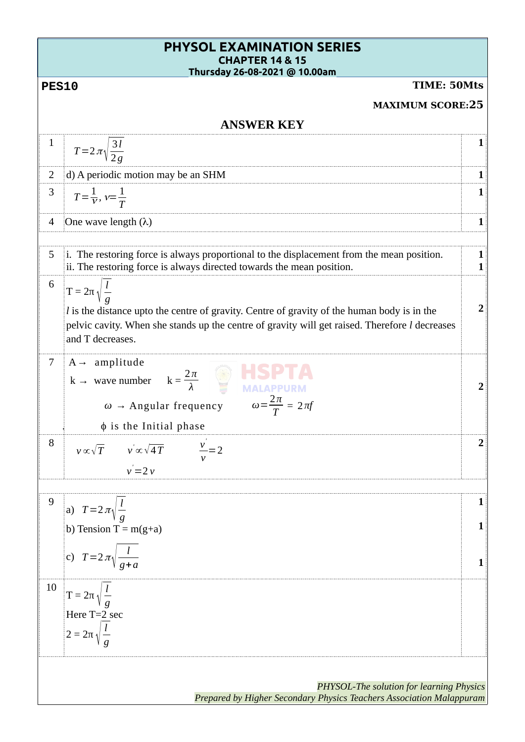| <b>PHYSOL EXAMINATION SERIES</b><br><b>CHAPTER 14 &amp; 15</b><br>Thursday 26-08-2021 @ 10.00am |                                                                                                                                                                                                                                                                  |        |  |  |  |
|-------------------------------------------------------------------------------------------------|------------------------------------------------------------------------------------------------------------------------------------------------------------------------------------------------------------------------------------------------------------------|--------|--|--|--|
| TIME: 50Mts<br><b>PES10</b>                                                                     |                                                                                                                                                                                                                                                                  |        |  |  |  |
| <b>MAXIMUM SCORE:25</b>                                                                         |                                                                                                                                                                                                                                                                  |        |  |  |  |
| <b>ANSWER KEY</b>                                                                               |                                                                                                                                                                                                                                                                  |        |  |  |  |
| $\mathbf{1}$                                                                                    |                                                                                                                                                                                                                                                                  | 1      |  |  |  |
|                                                                                                 | $T = 2 \pi \sqrt{\frac{3l}{2g}}$                                                                                                                                                                                                                                 |        |  |  |  |
| 2                                                                                               | d) A periodic motion may be an SHM                                                                                                                                                                                                                               | 1      |  |  |  |
| 3                                                                                               | $T = \frac{1}{V}$ , $v = \frac{1}{T}$                                                                                                                                                                                                                            | 1      |  |  |  |
| $\overline{4}$                                                                                  | One wave length $(\lambda)$                                                                                                                                                                                                                                      | 1      |  |  |  |
| 5                                                                                               | i. The restoring force is always proportional to the displacement from the mean position.<br>ii. The restoring force is always directed towards the mean position.                                                                                               | 1<br>1 |  |  |  |
| 6                                                                                               | $T = 2\pi \sqrt{\frac{l}{q}}$<br><i>l</i> is the distance upto the centre of gravity. Centre of gravity of the human body is in the<br>pelvic cavity. When she stands up the centre of gravity will get raised. Therefore <i>l</i> decreases<br>and T decreases. | 2      |  |  |  |
| 7                                                                                               | $A \rightarrow$ amplitude<br><b>HSF</b><br>$k \rightarrow \text{ wave number } k = \frac{2\pi}{\lambda}$<br>$\omega = \frac{2\pi}{T} = 2\pi f$<br>$\omega \rightarrow$ Angular frequency<br>$\phi$ is the Initial phase                                          | 2      |  |  |  |
| 8                                                                                               | $v \propto \sqrt{T}$ $v' \propto \sqrt{4T}$<br>$\frac{v}{-}$ = 2<br>$v'=2v$                                                                                                                                                                                      |        |  |  |  |
|                                                                                                 |                                                                                                                                                                                                                                                                  |        |  |  |  |
| $\overline{9}$                                                                                  | a) $T=2\pi\sqrt{\frac{l}{a}}$<br>b) Tension T = $m(g+a)$<br>c) $T=2\pi\sqrt{\frac{l}{q+a}}$                                                                                                                                                                      |        |  |  |  |
| 10                                                                                              | $T = 2\pi \sqrt{\frac{l}{a}}$<br>Here T=2 sec<br>$2 = 2\pi \sqrt{\frac{l}{q}}$                                                                                                                                                                                   |        |  |  |  |
|                                                                                                 |                                                                                                                                                                                                                                                                  |        |  |  |  |
|                                                                                                 | <b>PHYSOL-The solution for learning Physics</b><br>Prepared by Higher Secondary Physics Teachers Association Malappuram                                                                                                                                          |        |  |  |  |
|                                                                                                 |                                                                                                                                                                                                                                                                  |        |  |  |  |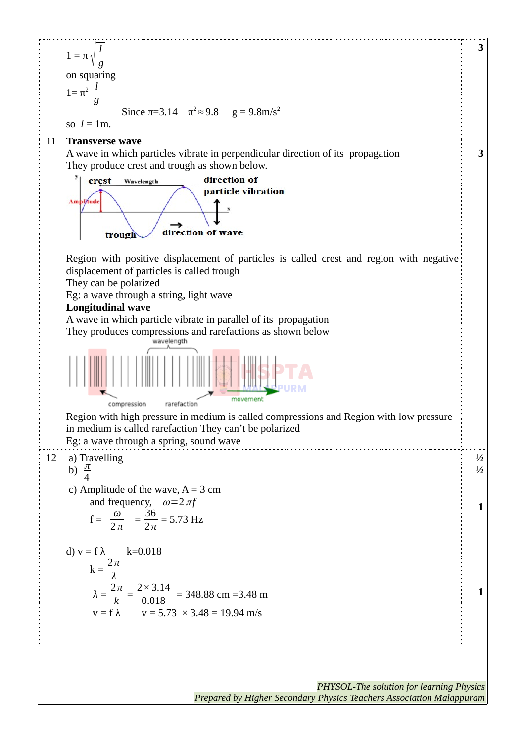

*PHYSOL-The solution for learning Physics Prepared by Higher Secondary Physics Teachers Association Malappuram*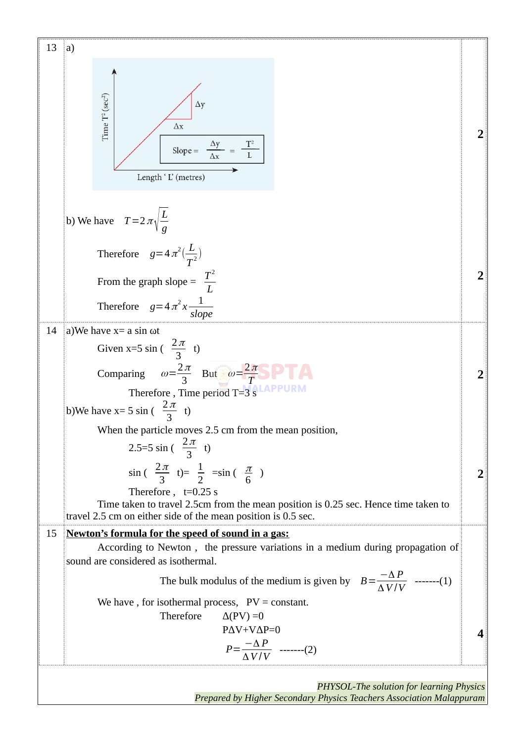13 a)  
\n
$$
\frac{f_2}{f_2}
$$
\n
$$
\frac{f_3}{f_4}
$$
\n
$$
\frac{f_4}{f_5}
$$
\n
$$
\frac{f_5}{f_6}
$$
\n
$$
\frac{f_6}{f_7}
$$
\n
$$
\frac{f_7}{f_8}
$$
\n
$$
\frac{f_7}{f_8}
$$
\n
$$
\frac{f_7}{f_8}
$$
\n
$$
\frac{f_7}{f_8}
$$
\n
$$
\frac{f_7}{f_8}
$$
\n
$$
\frac{f_7}{f_8}
$$
\n
$$
\frac{f_7}{f_8}
$$
\n
$$
\frac{f_7}{f_8}
$$
\n
$$
\frac{f_7}{f_8}
$$
\n
$$
\frac{f_7}{f_8}
$$
\n
$$
\frac{f_7}{f_8}
$$
\n
$$
\frac{f_7}{f_8}
$$
\n
$$
\frac{f_7}{f_8}
$$
\n
$$
\frac{f_7}{f_8}
$$
\n
$$
\frac{f_7}{f_8}
$$
\n
$$
\frac{f_7}{f_8}
$$
\n
$$
\frac{f_7}{f_8}
$$
\n
$$
\frac{f_7}{f_8}
$$
\n
$$
\frac{f_7}{f_8}
$$
\n
$$
\frac{f_7}{f_8}
$$
\n
$$
\frac{f_7}{f_8}
$$
\n
$$
\frac{f_7}{f_8}
$$
\n
$$
\frac{f_7}{f_8}
$$
\n
$$
\frac{f_7}{f_8}
$$
\n
$$
\frac{f_7}{f_8}
$$
\n
$$
\frac{f_7}{f_8}
$$
\n
$$
\frac{f_7}{f_8}
$$
\n
$$
\frac{f_7}{f_8}
$$
\n
$$
\frac{f_7}{f_8}
$$
\n
$$
\frac{f_7}{f_8}
$$
\n
$$
\frac{f_7}{f_8}
$$
\n
$$
\frac{f_7}{f_8}
$$
\n
$$
\frac{f_7}{f_8}
$$
\n
$$
\frac{f_7}{f_8}
$$
\n
$$
\frac{f_7}{f_8}
$$

*Prepared by Higher Secondary Physics Teachers Association Malappuram*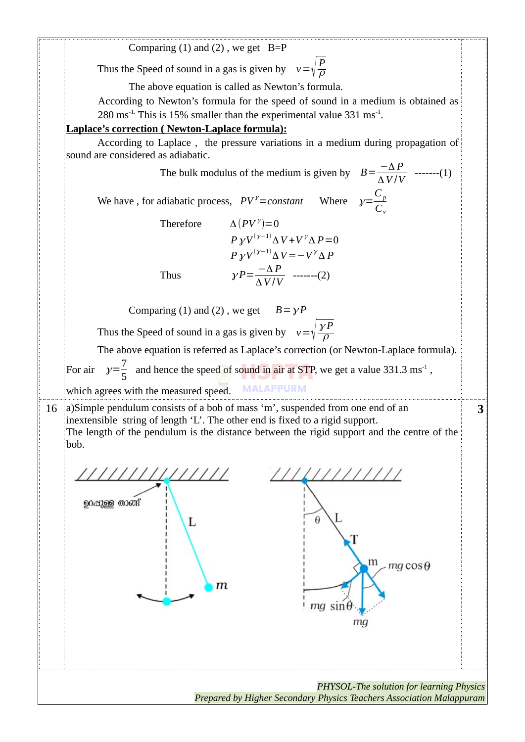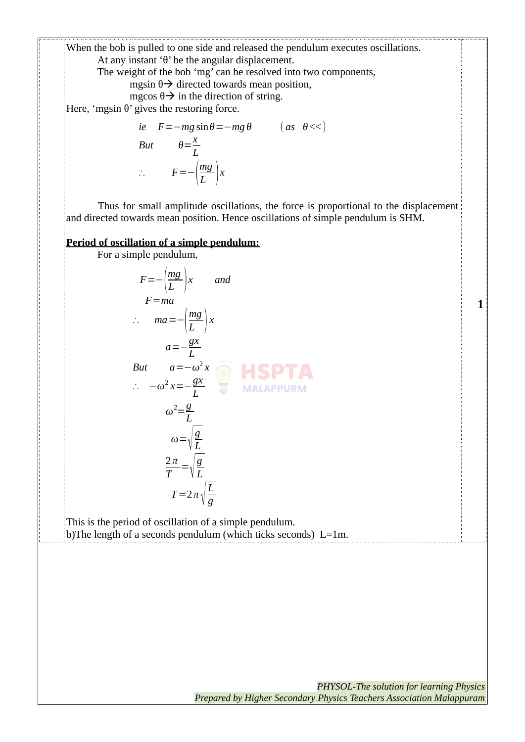When the bob is pulled to one side and released the pendulum executes oscillations. At any instant 'θ' be the angular displacement.

The weight of the bob 'mg' can be resolved into two components,

mgsin  $\theta \rightarrow$  directed towards mean position,

mgcos  $\theta \rightarrow$  in the direction of string.

Here, 'mgsin  $\theta$ ' gives the restoring force.

*ie* F=-mg sin θ=-mg θ (*as* θ<<)  
\nBut 
$$
\theta = \frac{x}{L}
$$
  
\n∴ F=- $\left(\frac{mg}{L}\right)x$ 

Thus for small amplitude oscillations, the force is proportional to the displacement and directed towards mean position. Hence oscillations of simple pendulum is SHM.

**JRM** 

**Period of oscillation of a simple pendulum:**

For a simple pendulum,

*∴* −*ω*

$$
F = -\left(\frac{mg}{L}\right)x \quad and
$$
  
\n
$$
F = ma
$$
  
\n
$$
\therefore ma = -\left(\frac{mg}{L}\right)x
$$
  
\n
$$
a = -\frac{gx}{L}
$$

But 
$$
a=-\omega^2 x
$$
  
\n $\therefore -\omega^2 x = -\frac{gx}{r}$  MALAPP

$$
\omega^{2} = \frac{g}{L}
$$
\n
$$
\omega = \sqrt{\frac{g}{L}}
$$
\n
$$
\frac{2\pi}{T} = \sqrt{\frac{g}{L}}
$$

This is the period of oscillation of a simple pendulum. b)The length of a seconds pendulum (which ticks seconds) L=1m.

*g*

*L*

 $T=2\pi\sqrt{\frac{L}{g}}$ 

**1**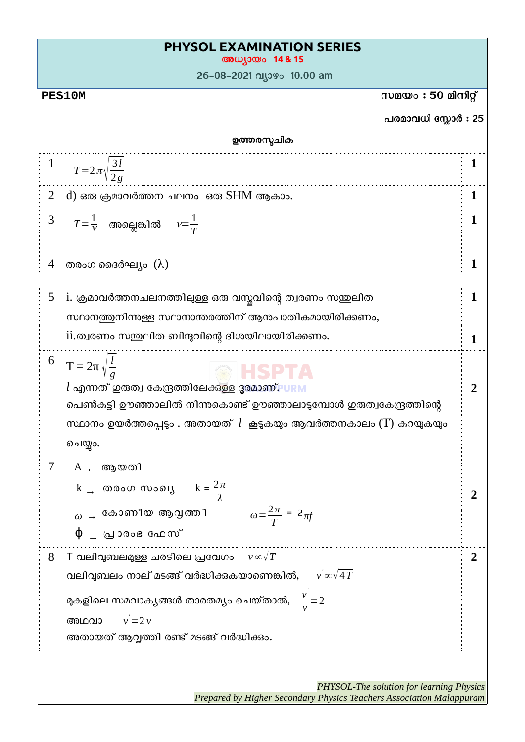| <b>PHYSOL EXAMINATION SERIES</b><br>അധ്യായം 14 & 15 |                                                                                                                                                                                                                                                              |        |  |
|-----------------------------------------------------|--------------------------------------------------------------------------------------------------------------------------------------------------------------------------------------------------------------------------------------------------------------|--------|--|
|                                                     | 26-08-2021 വ്യാഴം 10.00 am                                                                                                                                                                                                                                   |        |  |
| സമയം : 50 മിനിറ്റ്<br><b>PES10M</b>                 |                                                                                                                                                                                                                                                              |        |  |
|                                                     | പരമാവധി സ്കോർ : 25                                                                                                                                                                                                                                           |        |  |
|                                                     | ഉത്തരസ്മചിക                                                                                                                                                                                                                                                  |        |  |
| $\mathbf{1}$                                        | $T=2\pi\sqrt{\frac{3l}{2a}}$                                                                                                                                                                                                                                 | 1      |  |
| $\overline{2}$                                      | d) ഒരു ക്രമാവർത്തന ചലനം  ഒരു SHM ആകാം.                                                                                                                                                                                                                       | 1      |  |
| 3                                                   | $T\!=\!\frac{1}{\nu}$ അല്ലെങ്കിൽ $\nu\!=\!\frac{1}{T}$                                                                                                                                                                                                       | 1      |  |
|                                                     | ്തരംഗ ദൈർഘ്യം  (λ)                                                                                                                                                                                                                                           | 1      |  |
| 5                                                   | $\,$ i. ക്രമാവർത്തനചലനത്തിലുള്ള ഒരു വസ്തവിന്റെ ത്വരണം സന്തുലിത<br>സ്ഥാനത്തനിന്നള്ള സ്ഥാനാന്തരത്തിന് ആനപാതികമായിരിക്കണം,<br>ii.ത്വരണം സഇ്ളലിത ബിന്ദുവിന്റെ ദിശയിലായിരിക്കണം.                                                                                  | 1<br>1 |  |
| 6                                                   | $T = 2\pi \sqrt{\frac{l}{a}}$<br>HSPIA<br>$l$ എന്നത് ഗുരുത്വ കേന്ദ്രത്തിലേക്കുള്ള ദൂരമാണ്. URM<br>പെൺകുട്ടി ഊഞ്ഞാലിൽ നിന്നുകൊണ്ട് ഊഞ്ഞാലാടുമ്പോൾ ഗുരുത്വകേന്ദ്രത്തിന്റെ<br>സ്ഥാനം ഉയർത്തപ്പെട്ടം . അതായത് $l$ കൂടുകയും ആവർത്തനകാലം (T) കുറയുകയും<br>ചെയ്യം.  | 2      |  |
| 7                                                   | ആയതി<br>$A \rightarrow$<br>k <sub>→</sub> തരംഗസംഖൃ k = $\frac{2\pi}{\lambda}$<br>$\omega = \frac{2\pi}{T} = 2\pi f$<br>$\omega$ $\rightarrow$ കോണീയ ആവൃത്തി<br>$\phi$ ൃവാരംഭ ഫേസ്                                                                            |        |  |
| 8                                                   | $\top$ വലിവുബലമുള്ള ചരടിലെ പ്രവേഗം $v\!\propto\!\sqrt{T}$<br>വലിവുബലം നാല് മടങ്ങ് വർദ്ധിക്കുകയാണെങ്കിൽ, $-\sqrt{\alpha}\sqrt{4\,T}$<br>മുകളിലെ സമവാകൃങ്ങൾ താരതമ്യം ചെയ്താൽ, $\frac{v}{n}$ =2<br>$v = 2v$<br>അഥവാ<br>അതായത് ആവ്വത്തി രണ്ട് മടങ്ങ് വർദ്ധിക്കം. | 2      |  |
|                                                     | PHYSOL-The solution for learning Physics<br>Prepared by Higher Secondary Physics Teachers Association Malappuram                                                                                                                                             |        |  |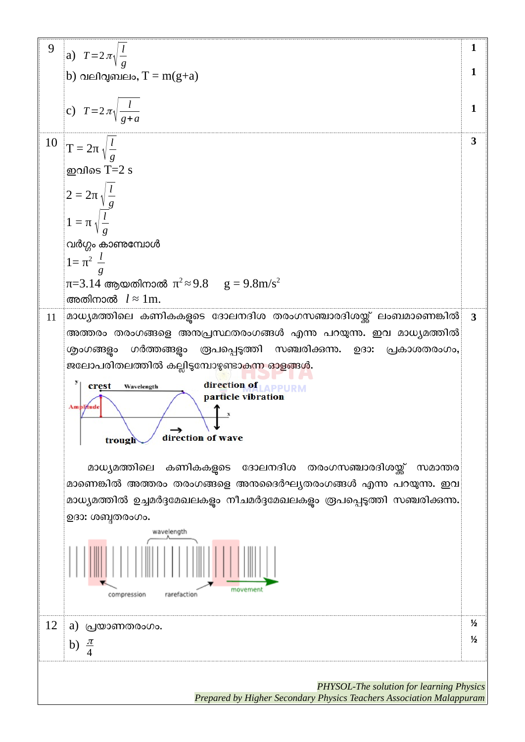

*Prepared by Higher Secondary Physics Teachers Association Malappuram*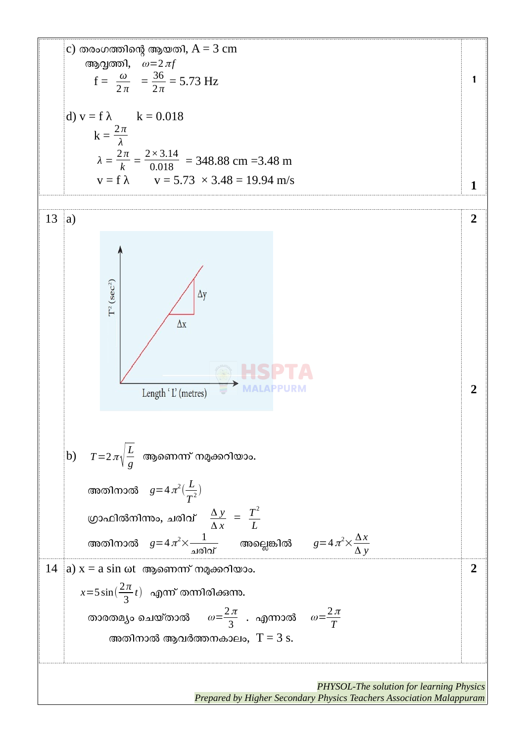c) തരംഗത്തിന്റെആയതി, A = 3 cm ആവൃത്തി, ω=2π*<sup>f</sup>* f = *<sup>ω</sup>* 2 *π* = 36 2 *π* = 5.73 Hz d) v = f λ k = 0.018 k = <sup>2</sup> *<sup>π</sup> λ λ* = 2 *π k* = 2*×*3.14 0.018 = 348.88 cm =3.48 m v = f λ v = 5.73 × 3.48 = 19.94 m/s **1 1** 13 a) b) *T*=2<sup>π</sup> <sup>√</sup> *L g* ആണെന്ന് നമുക്കറിയാം. അതിനാൽ *g*=4<sup>π</sup> 2 ( *L T* 2 ) ഗ്രാPിൽനിന്നും, ചരിവ് <sup>Δ</sup> *<sup>y</sup>* Δ *x* = *T* 2 *L* അതിനാൽ *g*=4<sup>π</sup> 2× 1 ചരിവ് അല്ലെങ്കിൽ *g*=4<sup>π</sup> 2× Δ*x* Δ *y* **2 2** 14 a) x = a sin ωt ആണെന്ന് നമുക്കറിയാം. *x*=5 sin( 2 *π* 3 *<sup>t</sup>*) എന്ന് തന്നിരിക്കുന്നു. താരതമ്യം ചെയ്താൽ ω= 2<sup>π</sup> 3 . എന്നാൽ ω<sup>=</sup> 2<sup>π</sup> *T* അതിനാൽ ആവർത്തനകാലം, T = 3 s. **2**

*PHYSOL-The solution for learning Physics Prepared by Higher Secondary Physics Teachers Association Malappuram*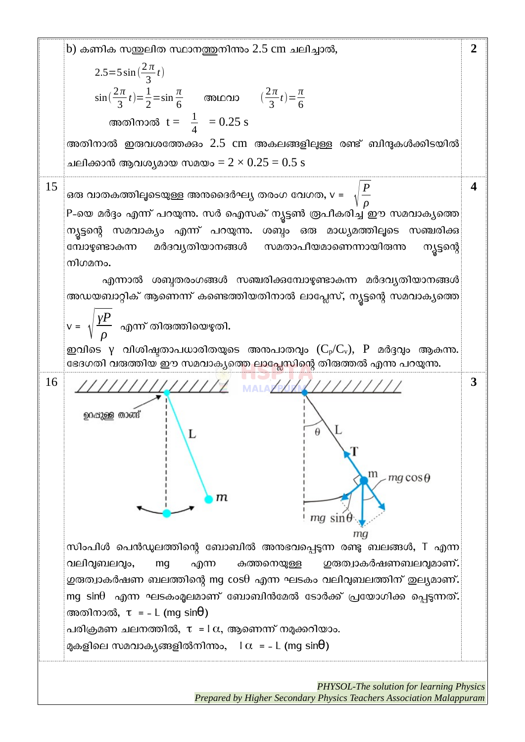

*PHYSOL-The solution for learning Physics Prepared by Higher Secondary Physics Teachers Association Malappuram*